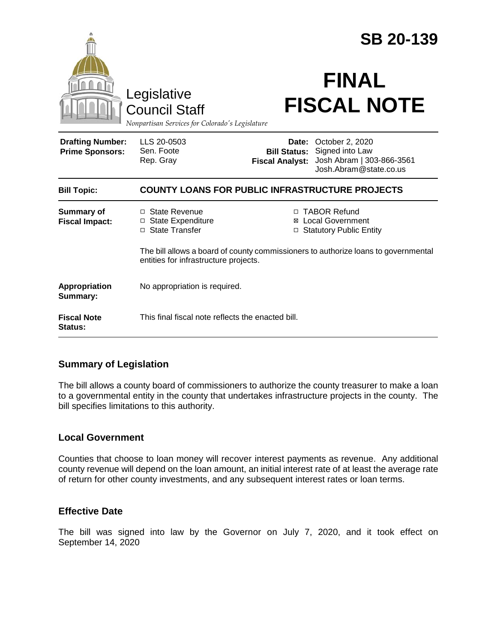| Legislative<br><b>Council Staff</b><br>Nonpartisan Services for Colorado's Legislature |                                                                                                                             | <b>SB 20-139</b><br><b>FINAL</b><br><b>FISCAL NOTE</b> |                                                                        |                                                   |
|----------------------------------------------------------------------------------------|-----------------------------------------------------------------------------------------------------------------------------|--------------------------------------------------------|------------------------------------------------------------------------|---------------------------------------------------|
|                                                                                        |                                                                                                                             |                                                        |                                                                        | <b>Drafting Number:</b><br><b>Prime Sponsors:</b> |
| <b>Bill Topic:</b>                                                                     | <b>COUNTY LOANS FOR PUBLIC INFRASTRUCTURE PROJECTS</b>                                                                      |                                                        |                                                                        |                                                   |
| <b>Summary of</b><br><b>Fiscal Impact:</b>                                             | □ State Revenue<br>□ State Expenditure<br>□ State Transfer                                                                  | ⊠                                                      | □ TABOR Refund<br><b>Local Government</b><br>□ Statutory Public Entity |                                                   |
|                                                                                        | The bill allows a board of county commissioners to authorize loans to governmental<br>entities for infrastructure projects. |                                                        |                                                                        |                                                   |
| Appropriation<br><b>Summary:</b>                                                       | No appropriation is required.                                                                                               |                                                        |                                                                        |                                                   |
| <b>Fiscal Note</b><br>Status:                                                          | This final fiscal note reflects the enacted bill.                                                                           |                                                        |                                                                        |                                                   |

## **Summary of Legislation**

The bill allows a county board of commissioners to authorize the county treasurer to make a loan to a governmental entity in the county that undertakes infrastructure projects in the county. The bill specifies limitations to this authority.

## **Local Government**

Counties that choose to loan money will recover interest payments as revenue. Any additional county revenue will depend on the loan amount, an initial interest rate of at least the average rate of return for other county investments, and any subsequent interest rates or loan terms.

## **Effective Date**

The bill was signed into law by the Governor on July 7, 2020, and it took effect on September 14, 2020